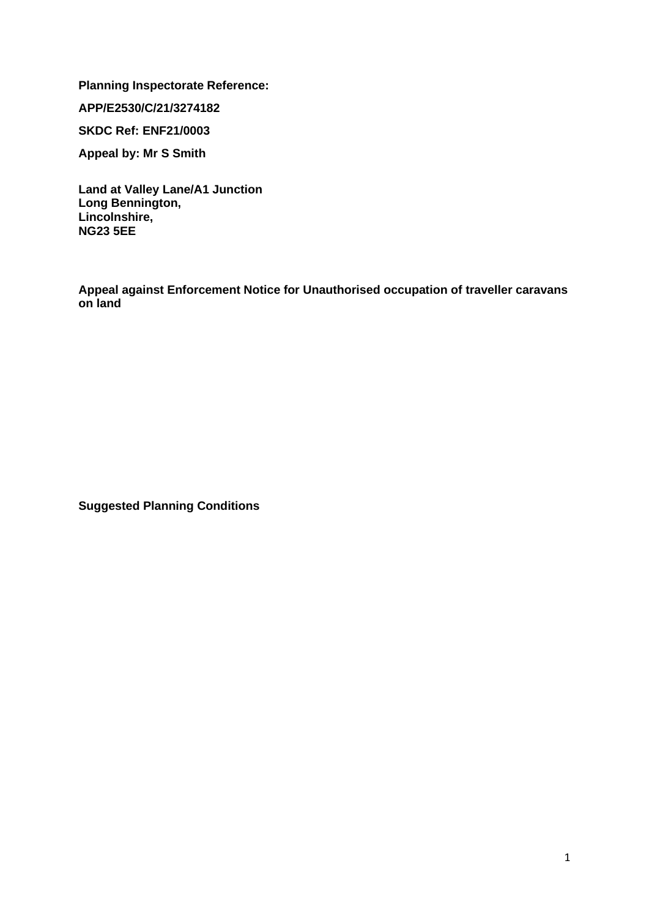**Planning Inspectorate Reference:** 

**APP/E2530/C/21/3274182**

**SKDC Ref: ENF21/0003**

**Appeal by: Mr S Smith**

**Land at Valley Lane/A1 Junction Long Bennington, Lincolnshire, NG23 5EE**

**Appeal against Enforcement Notice for Unauthorised occupation of traveller caravans on land**

**Suggested Planning Conditions**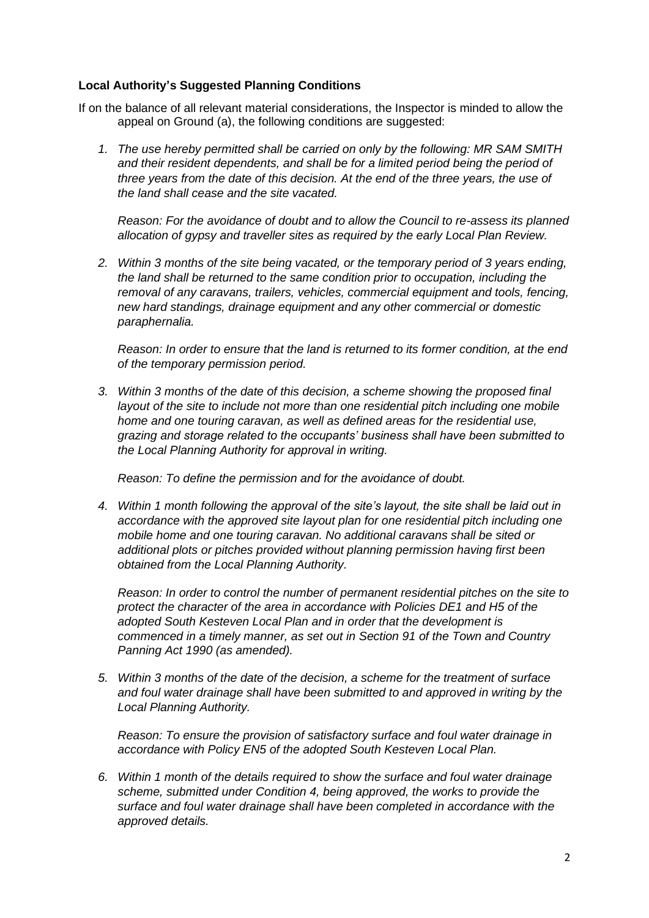## **Local Authority's Suggested Planning Conditions**

If on the balance of all relevant material considerations, the Inspector is minded to allow the appeal on Ground (a), the following conditions are suggested:

*1. The use hereby permitted shall be carried on only by the following: MR SAM SMITH and their resident dependents, and shall be for a limited period being the period of three years from the date of this decision. At the end of the three years, the use of the land shall cease and the site vacated.* 

*Reason: For the avoidance of doubt and to allow the Council to re-assess its planned allocation of gypsy and traveller sites as required by the early Local Plan Review.* 

*2. Within 3 months of the site being vacated, or the temporary period of 3 years ending, the land shall be returned to the same condition prior to occupation, including the removal of any caravans, trailers, vehicles, commercial equipment and tools, fencing, new hard standings, drainage equipment and any other commercial or domestic paraphernalia.* 

*Reason: In order to ensure that the land is returned to its former condition, at the end of the temporary permission period.* 

*3. Within 3 months of the date of this decision, a scheme showing the proposed final layout of the site to include not more than one residential pitch including one mobile home and one touring caravan, as well as defined areas for the residential use, grazing and storage related to the occupants' business shall have been submitted to the Local Planning Authority for approval in writing.*

*Reason: To define the permission and for the avoidance of doubt.*

*4. Within 1 month following the approval of the site's layout, the site shall be laid out in accordance with the approved site layout plan for one residential pitch including one mobile home and one touring caravan. No additional caravans shall be sited or additional plots or pitches provided without planning permission having first been obtained from the Local Planning Authority.* 

*Reason: In order to control the number of permanent residential pitches on the site to protect the character of the area in accordance with Policies DE1 and H5 of the adopted South Kesteven Local Plan and in order that the development is commenced in a timely manner, as set out in Section 91 of the Town and Country Panning Act 1990 (as amended).*

*5. Within 3 months of the date of the decision, a scheme for the treatment of surface and foul water drainage shall have been submitted to and approved in writing by the Local Planning Authority.* 

*Reason: To ensure the provision of satisfactory surface and foul water drainage in accordance with Policy EN5 of the adopted South Kesteven Local Plan.* 

*6. Within 1 month of the details required to show the surface and foul water drainage scheme, submitted under Condition 4, being approved, the works to provide the surface and foul water drainage shall have been completed in accordance with the approved details.*